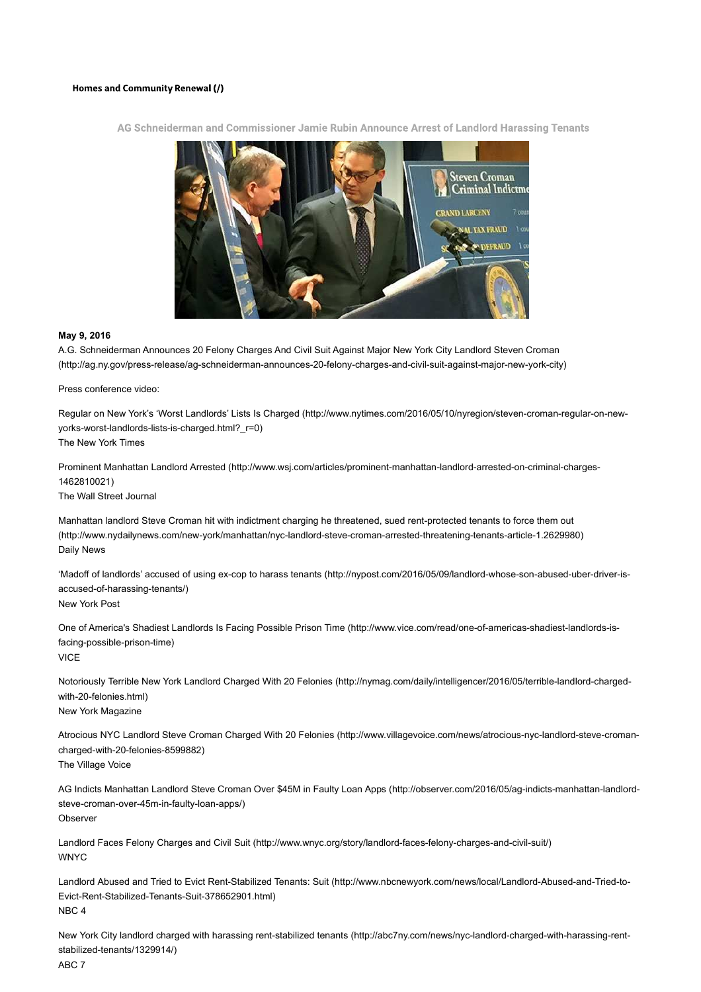## **Homes and Community Renewal (/)**



AG Schneiderman and Commissioner Jamie Rubin Announce Arrest of Landlord Harassing Tenants

## **May 9, 2016**

A.G. Schneiderman Announces 20 Felony Charges And Civil Suit Against Major New York City Landlord Steven Croman (http://ag.ny.gov/press-release/ag-schneiderman-announces-20-felony-charges-and-civil-suit-against-major-new-york-city)

Press conference video:

Regular on New York's 'Worst Landlords' Lists Is Charged (http://www.nytimes.com/2016/05/10/nyregion/steven-croman-regular-on-newyorks-worst-landlords-lists-is-charged.html?\_r=0) The New York Times

Prominent Manhattan Landlord Arrested (http://www.wsj.com/articles/prominent-manhattan-landlord-arrested-on-criminal-charges-1462810021)

The Wall Street Journal

Manhattan landlord Steve Croman hit with indictment charging he threatened, sued rent-protected tenants to force them out (http://www.nydailynews.com/new-york/manhattan/nyc-landlord-steve-croman-arrested-threatening-tenants-article-1.2629980) Daily News

'Madoff of landlords' accused of using ex-cop to harass tenants (http://nypost.com/2016/05/09/landlord-whose-son-abused-uber-driver-isaccused-of-harassing-tenants/) New York Post

One of America's Shadiest Landlords Is Facing Possible Prison Time (http://www.vice.com/read/one-of-americas-shadiest-landlords-isfacing-possible-prison-time) VICE

Notoriously Terrible New York Landlord Charged With 20 Felonies (http://nymag.com/daily/intelligencer/2016/05/terrible-landlord-chargedwith-20-felonies.html) New York Magazine

Atrocious NYC Landlord Steve Croman Charged With 20 Felonies (http://www.villagevoice.com/news/atrocious-nyc-landlord-steve-cromancharged-with-20-felonies-8599882)

The Village Voice

AG Indicts Manhattan Landlord Steve Croman Over \$45M in Faulty Loan Apps (http://observer.com/2016/05/ag-indicts-manhattan-landlordsteve-croman-over-45m-in-faulty-loan-apps/) **Observer** 

Landlord Faces Felony Charges and Civil Suit (http://www.wnyc.org/story/landlord-faces-felony-charges-and-civil-suit/) WNYC

Landlord Abused and Tried to Evict Rent-Stabilized Tenants: Suit (http://www.nbcnewyork.com/news/local/Landlord-Abused-and-Tried-to-Evict-Rent-Stabilized-Tenants-Suit-378652901.html) NBC 4

New York City landlord charged with harassing rent-stabilized tenants (http://abc7ny.com/news/nyc-landlord-charged-with-harassing-rentstabilized-tenants/1329914/) ABC 7